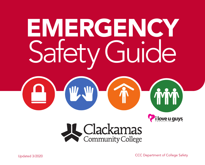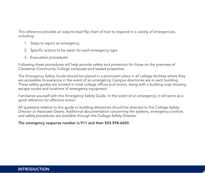This reference provides an easy-to-read flip chart of how to respond in a variety of emergencies, including:

- 1. Steps to report an emergency
- 2. Specific actions to be taken for each emergency type
- 3. Evacuation procedures

Following these procedures will help provide safety and protection for those on the premises of Clackamas Community College campuses and leased properties.

The Emergency Safety Guide should be placed in a prominent place in all college facilities where they are accessible to everyone in the event of an emergency. Campus directories are in each building. These safety guides are located in most college offices and rooms, along with a building map showing escape routes and locations of emergency equipment.

Familiarize yourself with this Emergency Safety Guide. In the event of an emergency, it will serve as a quick reference for effective action.

All questions relative to this guide or building directories should be directed to the College Safety Director or Associate Deans. Additional documentation concerning fire systems, emergency controls and safety procedures are available through the College Safety Director.

#### The emergency response number is 911 and then 503-594-6650.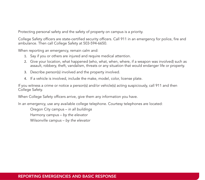Protecting personal safety and the safety of property on campus is a priority.

College Safety officers are state-certified security officers. Call 911 in an emergency for police, fire and ambulance. Then call College Safety at 503-594-6650.

When reporting an emergency, remain calm and:

- 1. Say if you or others are injured and require medical attention.
- 2. Give your location, what happened (who, what, when, where, if a weapon was involved) such as assault, robbery, theft, vandalism, threats or any situation that would endanger life or property.
- 3. Describe person(s) involved and the property involved.
- 4. If a vehicle is involved, include the make, model, color, license plate.

If you witness a crime or notice a person(s) and/or vehicle(s) acting suspiciously, call 911 and then College Safety.

When College Safety officers arrive, give them any information you have.

In an emergency, use any available college telephone. Courtesy telephones are located:

Oregon City campus – *in all buildings* Harmony campus – *by the elevator* Wilsonville campus – *by the elevator*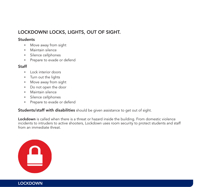# LOCKDOWN! LOCKS, LIGHTS, OUT OF SIGHT.

## **Students**

- Move away from sight
- Maintain silence
- • Silence cellphones
- • Prepare to evade or defend

# **Staff**

- Lock interior doors
- • Turn out the lights
- Move away from sight
- • Do not open the door
- • Maintain silence
- • Silence cellphones
- • Prepare to evade or defend

Students/staff with disabilities should be given assistance to get out of sight.

Lockdown is called when there is a threat or hazard inside the building. From domestic violence incidents to intruders to active shooters, Lockdown uses room security to protect students and staff from an immediate threat.



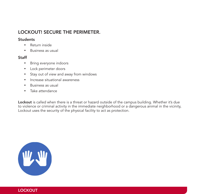# LOCKOUT! SECURE THE PERIMETER.

#### **Students**

- Return inside
- • Business as usual

## **Staff**

- Bring everyone indoors
- • Lock perimeter doors
- • Stay out of view and away from windows
- Increase situational awareness
- Business as usual
- Take attendance

Lockout is called when there is a threat or hazard outside of the campus building. Whether it's due to violence or criminal activity in the immediate neighborhood or a dangerous animal in the vicinity, Lockout uses the security of the physical facility to act as protection.

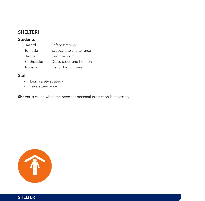# SHELTER!

# Students

| Hazard     | Safety strategy          |
|------------|--------------------------|
| Tornado    | Evacuate to shelter area |
| Hazmat     | Seal the room            |
| Earthquake | Drop, cover and hold on  |
| Tsunami    | Get to high ground       |

# Staff

- • Lead safety strategy
- Take attendance

Shelter is called when the need for personal protection is necessary.

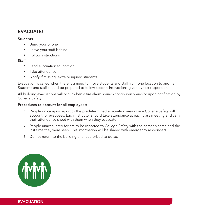# EVACUATE!

#### **Students**

- Bring your phone
- Leave your stuff behind
- • Follow instructions

## **Staff**

- Lead evacuation to location
- Take attendance
- Notify if missing, extra or injured students

Evacuation is called when there is a need to move students and staff from one location to another. Students and staff should be prepared to follow specific instructions given by first responders.

All building evacuations will occur when a fire alarm sounds continuously and/or upon notification by College Safety.

#### Procedures to account for all employees:

- 1. People on campus report to the predetermined evacuation area where College Safety will account for evacuees. Each instructor should take attendance at each class meeting and carry their attendance sheet with them when they evacuate.
- 2. People unaccounted for are to be reported to College Safety with the person's name and the last time they were seen. This information will be shared with emergency responders.
- 3. Do not return to the building until authorized to do so.



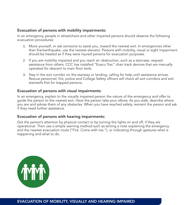## Evacuation of persons with mobility impairments:

In an emergency, people in wheelchairs and other impaired persons should observe the following evacuation procedures:

- 1. Move yourself, or ask someone to assist you, toward the nearest exit. In emergencies other than fire/earthquake, use the nearest elevator. Persons with mobility, visual or sight impairment should be treated as if they were injured persons for evacuation purposes.
- 2. If you are mobility impaired and you reach an obstruction, such as a staircase, request assistance from others. CCC has installed "Evacu-Trac" chair track devices that are manually operated for descent to main floor exits.
- 3. Stay in the exit corridor on the stairway or landing, calling for help until assistance arrives. Rescue personnel, fire, police and College Safety officers will check all exit corridors and exit stairwells first for trapped persons.

#### Evacuation of persons with visual impairments:

In an emergency, explain to the visually impaired person the nature of the emergency and offer to guide the person to the nearest exit. Have the person take your elbow. As you walk, describe where you are and advise them of any obstacles. When you have reached safety, reorient the person and ask if they need further assistance.

### Evacuation of persons with hearing impairments:

Get the person's attention by physical contact or by turning the lights on and off, if they are operational. Then use a simple warning method such as writing a note explaining the emergency and the nearest evacuation route ("Fire. Come with me."), or indicating through gestures what is happening and what to do.



EVACUATION OF MOBILITY, VISUALLY AND HEARING IMPAIRED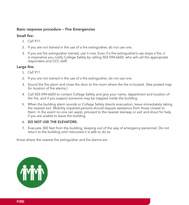## Basic response procedure – Fire Emergencies

## Small fire:

- 1. Call 911.
- 2. If you are not trained in the use of a fire extinguisher, do not use one.
- 3. If you are fire extinguisher trained, use it now. Even if a fire extinguisher's use stops a fire, it is imperative you notify College Safety by calling 503-594-6650, who will call the appropriate responders and CCC staff.

# Large fire:

- 1. Call 911.
- 2. If you are not trained in the use of a fire extinguisher, do not use one.
- 3. Sound the fire alarm and close the door to the room where the fire is located. *(See posted map for location of fire alarms.)*
- 4. Call 503-594-6650 to contact College Safety and give your name, department and location of the fire, and if you suspect someone may be trapped inside the building.
- 5. When the building alarm sounds or College Safety directs evacuation, leave immediately taking the nearest exit. Mobility impaired persons should request assistance from those closest to them. In the event no one can assist, proceed to the nearest stairway or exit and shout for help if you are unable to leave the building.

#### 6. DO NOT USE THE ELEVATORS.

7. Evacuate 300 feet from the building, keeping out of the way of emergency personnel. Do not return to the building until instructed it is safe to do so.

Know where the nearest fire extinguisher and fire alarms are.

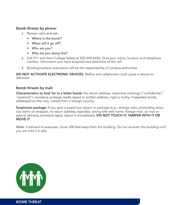### Bomb threats by phone:

- 1. Remain calm and ask:
	- *• Where is the bomb?*
	- *• When will it go off?*
	- *• Who are you?*
	- *• Why are you doing this?*
- 2. Call 911 and then College Safety at 503-594-6650. Give your name, location and telephone number, information you have acquired and date/time of the call.
- 3. Building/campus evacuation will be the responsibility of campus authorities.

DO NOT ACTIVIATE ELECTRONIC DEVICES. Radios and cellphones could cause a device to detonate.

## Bomb threats by mail:

Characteristics to look for in a letter bomb: No return address, restrictive markings ("confidential," "personal"), excessive postage, badly typed or written address, rigid or bulky, misspelled words, addressed to title only, mailed from a foreign country.

Suspicious package: If you spot a suspicious object or package (e.g., strange odor, protruding wires, oily stains on wrapper, no return address, lopsided, wrong title with name, foreign mail, air mail or special delivery, excessive tape), report it immediately. **DO NOT TOUCH IT, TAMPER WITH IT OR MOVE IT.** 

*Note: If advised to evacuate, move 300 feet away from the building. Do not re-enter the building until you are told it is safe.*

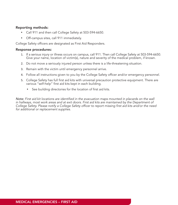## Reporting methods:

- Call 911 and then call College Safety at 503-594-6650.
- • Off-campus sites, call 911 immediately.

College Safety officers are designated as First Aid Responders.

#### Response procedures:

- 1. If a serious injury or illness occurs on campus, call 911. Then call College Safety at 503-594-6650. Give your name, location of victim(s), nature and severity of the medical problem, if known.
- 2. Do not move a seriously injured person unless there is a life-threatening situation.
- 3. Remain with the victim until emergency personnel arrive.
- 4. Follow all instructions given to you by the College Safety officer and/or emergency personnel.
- 5. College Safety has full first aid kits with universal precaution protective equipment. There are various "self-help" first aid kits kept in each building.
	- See building directories for the location of first aid kits.

*Note: First aid kit locations are identified in the evacuation maps mounted in placards on the wall in hallways, most work areas and at exit doors. First aid kits are maintained by the Department of College Safety. Please notify a College Safety officer to report missing first aid kits and/or the need for additional or replacement supplies.*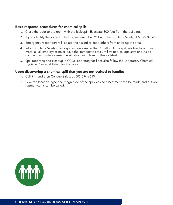#### Basic response procedures for chemical spills:

- 1. Close the door to the room with the leak/spill. Evacuate 300 feet from the building.
- 2. Try to identify the spilled or leaking material. Call 911 and then College Safety at 503-594-6650.
- 3. Emergency responders will isolate the hazard to keep others from entering the area.
- 4. Inform College Safety of any spill or leak greater than 1 gallon. If the spill involves hazardous material, all employees must leave the immediate area until trained college staff or outside contract responders assess the situation and clean up the spill/leak.
- 5. Spill reporting and cleanup in CCC's laboratory facilities also follow the Laboratory Chemical Hygiene Plan established for that area.

### Upon discovering a chemical spill that you are not trained to handle:

- 1. Call 911 and then College Safety at 503-594-6650.
- 2. Give the location, type and magnitude of the spill/leak so assessment can be made and outside hazmat teams can be called.

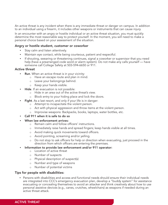An active threat is any incident when there is any immediate threat or danger on campus. In addition to an individual using a firearm, it includes other weapons or instruments that can cause injury.

In an encounter with an angry or hostile individual or an active threat situation, you must quickly determine the most reasonable way to protect yourself. In the moment, you will need to make a personal choice based on your assessment of the situation.

#### Angry or hostile student, customer or coworker

- Stay calm and listen attentively.
- Maintain eye contact, while being courteous, patient and respectful.
- If shouting, swearing or threatening continues, signal a coworker or supervisor that you need help (have a prearranged code word or alarm system). Do not make any calls yourself — have someone call College Safety at 503-594-6650 or 911.

#### Active threat

- Run. When an active threat is in your vicinity:
	- o Have an escape route and plan in mind.
	- o Leave your belongings behind.
	- o Keep your hands visible.
	- **Hide**. If an evacuation is not possible:
		- o Hide in an area out of the active threat's view.
		- o Block entry to your hiding place and lock the doors.
- Fight. As a last resort, and only if your life is in danger:
	- o Attempt to incapacitate the violent person.
	- o Act with physical aggression and throw items at the violent person.
	- o Improvise weapons: Backpacks, books, laptops, water bottles, etc.
- Call 911 when it is safe to do so
- **When law enforcement arrives:** 
	- o Remain calm and follow officers' instructions.
	- o Immediately raise hands and spread fingers; keep hands visible at all times.
	- o Avoid making quick movements toward officers.
	- o Avoid pointing, screaming and/or yelling.
	- o Do not stop to ask officers for help or direction when evacuating, just proceed in the direction from which officers are entering the premises.
- Information to provide law enforcement and/or 911 operator:
	- o Location of active threat
	- o Number of suspects
	- o Physical description of suspect(s)
	- o Number and type of weapons
	- o Number of potential victims

#### Tips for people with disabilities:

• Persons with disabilities and access and functional needs should ensure their individual needs are integrated into CCC's emergency evacuation plan, develop a "buddy system" for assistance evacuating or concealing themselves to avoid an attacker and think creatively about how to use personal assistive devices (e.g., canes, crutches, wheelchairs) as weapons if needed during an active threat attack.

#### ACTIVE THREAT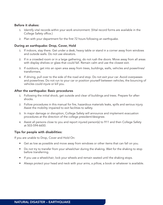#### Before it shakes:

- 1. Identify vital records within your work environment. (Vital record forms are available in the College Safety office.)
- 2. Plan with your department for the first 72 hours following an earthquake.

## During an earthquake: Drop, Cover, Hold

- 1. If indoors, stay there. Get under a desk, heavy table or stand in a corner away from windows and outside walls. Do not use elevators.
- 2. If in a crowded room or in a large gathering, do not rush the doors. Move away from all areas with display shelves or glass that could fall. Remain calm and use the closest exit.
- 3. If outdoors, get into an open area away from trees, buildings, walls, vehicles and powerlines/ transformers.
- 4. If driving, pull over to the side of the road and stop. Do not exit your car. Avoid overpasses and powerlines. Do not run to your car or position yourself between vehicles, the bouncing of vehicles could injure or kill you.

#### After the earthquake: Basic procedures

- 1. Following the initial shock, get outside and clear of buildings and trees. Prepare for aftershocks.
- 2. Follow procedures in this manual for fire, hazardous materials leaks, spills and serious injury. Assist the mobility impaired to exit facilities to safety.
- 3. In major damage or disruption, College Safety will announce and implement evacuation procedures at the direction of the college president/designee.
- 4. Assist all persons close to you and report injured person(s) to 911 and then College Safety at 503-594-6650.

#### Tips for people with disabilities:

If you are unable to Drop, Cover and Hold On:

- Get as low as possible and move away from windows or other items that can fall on you.
- Do not try to transfer from your wheelchair during the shaking. Wait for the shaking to stop before transferring.
- If you use a wheelchair; lock your wheels and remain seated until the shaking stops.
- Always protect your head and neck with your arms, a pillow, a book or whatever is available.